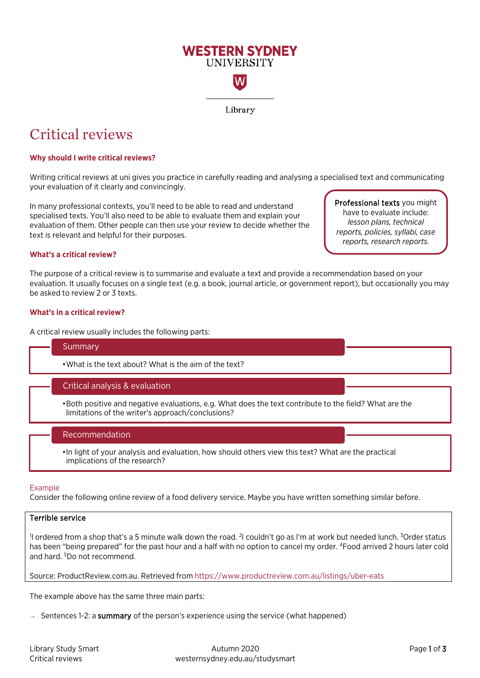

# Critical reviews

## **Why should I write critical reviews?**

Writing critical reviews at uni gives you practice in carefully reading and analysing a specialised text and communicating your evaluation of it clearly and convincingly.

In many professional contexts, you'll need to be able to read and understand specialised texts. You'll also need to be able to evaluate them and explain your evaluation of them. Other people can then use your review to decide whether the text is relevant and helpful for their purposes.

Professional texts you might have to evaluate include: *lesson plans, technical reports, policies, syllabi, case reports, research reports.*

## **What's a critical review?**

The purpose of a critical review is to summarise and evaluate a text and provide a recommendation based on your evaluation. It usually focuses on a single text (e.g. a book, journal article, or government report), but occasionally you may be asked to review 2 or 3 texts.

### **What's in a critical review?**

A critical review usually includes the following parts:

#### **Summary**

•What is the text about? What is the aim of the text?

## Critical analysis & evaluation

• Both positive and negative evaluations, e.g. What does the text contribute to the field? What are the limitations of the writer's approach/conclusions?

## Recommendation

• In light of your analysis and evaluation, how should others view this text? What are the practical implications of the research?

#### Example

Consider the following online review of a food delivery service. Maybe you have written something similar before.

### Terrible service

I ordered from a shop that's a 5 minute walk down the road. <sup>2</sup>I couldn't go as I'm at work but needed lunch. <sup>3</sup>Order status has been "being prepared" for the past hour and a half with no option to cancel my order. <sup>4</sup>Food arrived 2 hours later cold and hard. 5Do not recommend.

Source: ProductReview.com.au. Retrieved from <https://www.productreview.com.au/listings/uber-eats>

The example above has the same three main parts:

 $\rightarrow$  Sentences 1-2: a summary of the person's experience using the service (what happened)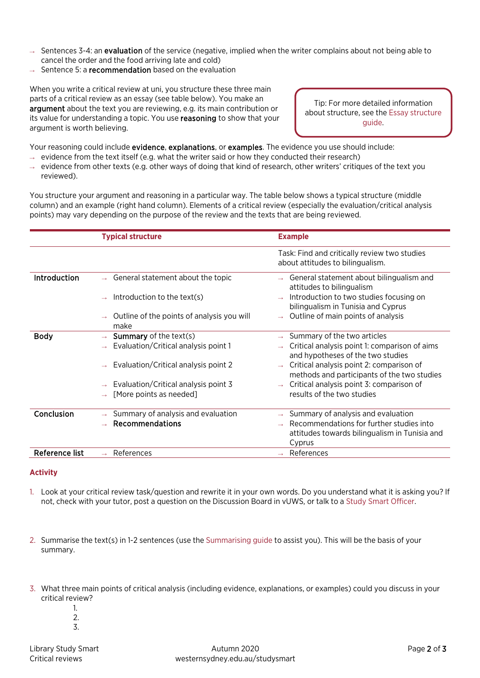- $\rightarrow$  Sentences 3-4: an **evaluation** of the service (negative, implied when the writer complains about not being able to cancel the order and the food arriving late and cold)
- $\rightarrow$  Sentence 5: a recommendation based on the evaluation

When you write a critical review at uni, you structure these three main parts of a critical review as an essay (see table below). You make an argument about the text you are reviewing, e.g. its main contribution or its value for understanding a topic. You use reasoning to show that your argument is worth believing.

Tip: For more detailed information about structure, see th[e Essay structure](https://westernsydney.edu.au/__data/assets/pdf_file/0016/1082500/Essay_Structure.pdf) guide.

Your reasoning could include evidence, explanations, or examples. The evidence you use should include:

- $\rightarrow$  evidence from the text itself (e.g. what the writer said or how they conducted their research)
- $\rightarrow$  evidence from other texts (e.g. other ways of doing that kind of research, other writers' critiques of the text you reviewed).

You structure your argument and reasoning in a particular way. The table below shows a typical structure (middle column) and an example (right hand column). Elements of a critical review (especially the evaluation/critical analysis points) may vary depending on the purpose of the review and the texts that are being reviewed.

|                     | <b>Typical structure</b>                           | <b>Example</b>                                                                          |
|---------------------|----------------------------------------------------|-----------------------------------------------------------------------------------------|
|                     |                                                    | Task: Find and critically review two studies<br>about attitudes to bilingualism.        |
| <b>Introduction</b> | General statement about the topic                  | General statement about bilingualism and<br>attitudes to bilingualism                   |
|                     | Introduction to the text(s)                        | Introduction to two studies focusing on<br>bilingualism in Tunisia and Cyprus           |
|                     | Outline of the points of analysis you will<br>make | Outline of main points of analysis                                                      |
| <b>Body</b>         | <b>Summary</b> of the text(s)                      | Summary of the two articles                                                             |
|                     | Evaluation/Critical analysis point 1               | Critical analysis point 1: comparison of aims<br>and hypotheses of the two studies      |
|                     | Evaluation/Critical analysis point 2               | Critical analysis point 2: comparison of<br>methods and participants of the two studies |
|                     | Evaluation/Critical analysis point 3               | Critical analysis point 3: comparison of                                                |
|                     | [More points as needed]                            | results of the two studies                                                              |
| Conclusion          | Summary of analysis and evaluation                 | Summary of analysis and evaluation                                                      |
|                     | Recommendations                                    | Recommendations for further studies into                                                |
|                     |                                                    | attitudes towards bilingualism in Tunisia and                                           |
|                     |                                                    | Cyprus                                                                                  |
| Reference list      | References                                         | References                                                                              |

## **Activity**

- 1. Look at your critical review task/question and rewrite it in your own words. Do you understand what it is asking you? If not, check with your tutor, post a question on the Discussion Board in vUWS, or talk to a [Study Smart Officer.](https://westernsydney.edu.au/studysmart/home/expert_help/officers)
- 2. Summarise the text(s) in 1-2 sentences (use th[e Summarising guide](https://westernsydney.edu.au/__data/assets/pdf_file/0020/1082801/Summarising.pdf) to assist you). This will be the basis of your summary.
- 3. What three main points of critical analysis (including evidence, explanations, or examples) could you discuss in your critical review?
	- 1. 2.
	- 3.